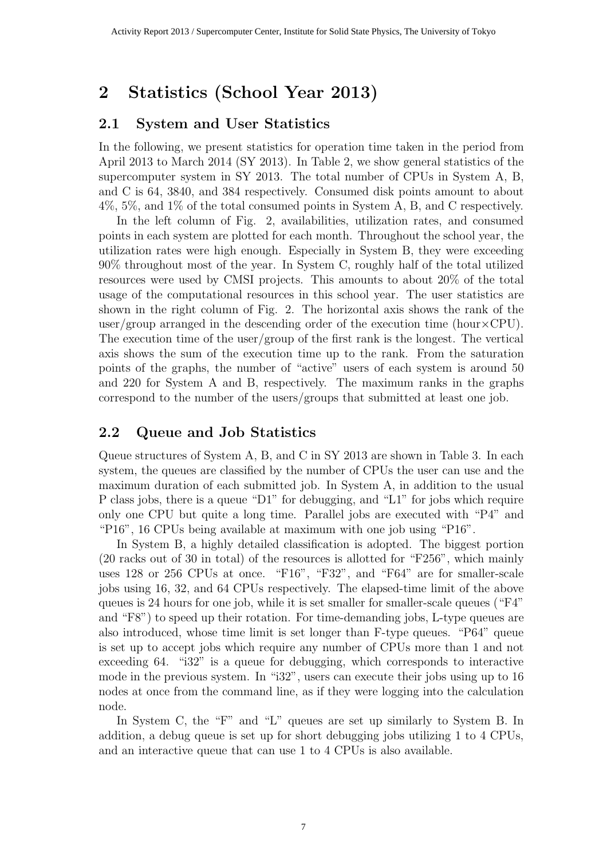## 2 Statistics (School Year 2013)

## 2.1 System and User Statistics

In the following, we present statistics for operation time taken in the period from April 2013 to March 2014 (SY 2013). In Table 2, we show general statistics of the supercomputer system in SY 2013. The total number of CPUs in System A, B, and C is 64, 3840, and 384 respectively. Consumed disk points amount to about 4%, 5%, and 1% of the total consumed points in System A, B, and C respectively.

In the left column of Fig. 2, availabilities, utilization rates, and consumed points in each system are plotted for each month. Throughout the school year, the utilization rates were high enough. Especially in System B, they were exceeding 90% throughout most of the year. In System C, roughly half of the total utilized resources were used by CMSI projects. This amounts to about 20% of the total usage of the computational resources in this school year. The user statistics are shown in the right column of Fig. 2. The horizontal axis shows the rank of the user/group arranged in the descending order of the execution time (hour $\times$ CPU). The execution time of the user/group of the first rank is the longest. The vertical axis shows the sum of the execution time up to the rank. From the saturation points of the graphs, the number of "active" users of each system is around 50 and 220 for System A and B, respectively. The maximum ranks in the graphs correspond to the number of the users/groups that submitted at least one job.

## 2.2 Queue and Job Statistics

Queue structures of System A, B, and C in SY 2013 are shown in Table 3. In each system, the queues are classified by the number of CPUs the user can use and the maximum duration of each submitted job. In System A, in addition to the usual P class jobs, there is a queue "D1" for debugging, and "L1" for jobs which require only one CPU but quite a long time. Parallel jobs are executed with "P4" and "P16", 16 CPUs being available at maximum with one job using "P16".

In System B, a highly detailed classification is adopted. The biggest portion (20 racks out of 30 in total) of the resources is allotted for "F256", which mainly uses 128 or 256 CPUs at once. "F16", "F32", and "F64" are for smaller-scale jobs using 16, 32, and 64 CPUs respectively. The elapsed-time limit of the above queues is 24 hours for one job, while it is set smaller for smaller-scale queues ("F4" and "F8") to speed up their rotation. For time-demanding jobs, L-type queues are also introduced, whose time limit is set longer than F-type queues. "P64" queue is set up to accept jobs which require any number of CPUs more than 1 and not exceeding 64. "i32" is a queue for debugging, which corresponds to interactive mode in the previous system. In "i32", users can execute their jobs using up to 16 nodes at once from the command line, as if they were logging into the calculation node.

In System C, the "F" and "L" queues are set up similarly to System B. In addition, a debug queue is set up for short debugging jobs utilizing 1 to 4 CPUs, and an interactive queue that can use 1 to 4 CPUs is also available.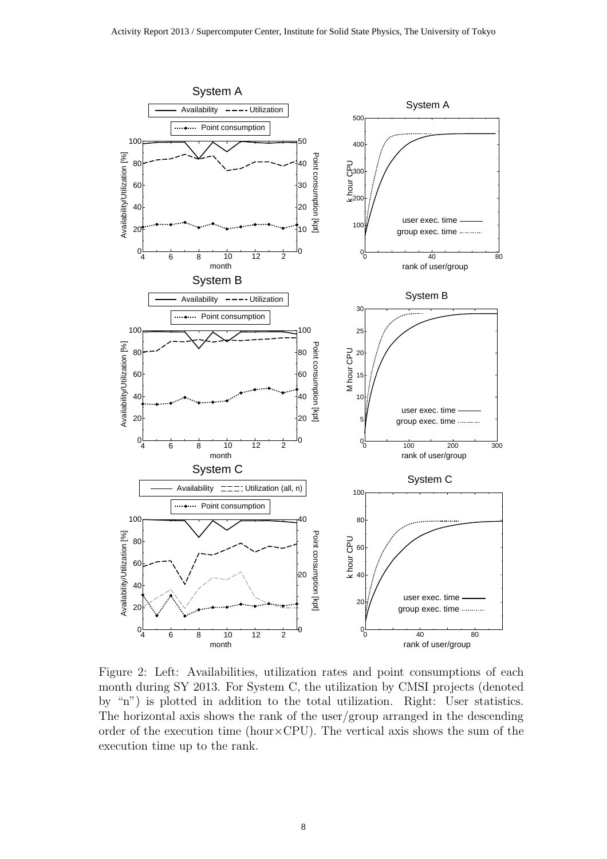

Figure 2: Left: Availabilities, utilization rates and point consumptions of each month during SY 2013. For System C, the utilization by CMSI projects (denoted by "n") is plotted in addition to the total utilization. Right: User statistics. The horizontal axis shows the rank of the user/group arranged in the descending order of the execution time (hour $\times$ CPU). The vertical axis shows the sum of the execution time up to the rank.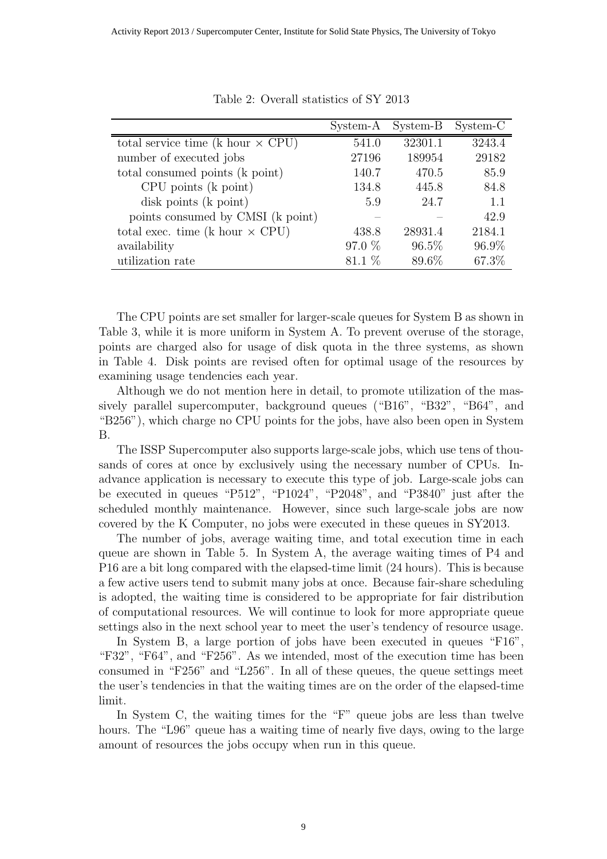|                                          | System-A | System-B | System-C |
|------------------------------------------|----------|----------|----------|
| total service time (k hour $\times$ CPU) | 541.0    | 32301.1  | 3243.4   |
| number of executed jobs                  | 27196    | 189954   | 29182    |
| total consumed points (k point)          | 140.7    | 470.5    | 85.9     |
| $CPU$ points $(k$ point)                 | 134.8    | 445.8    | 84.8     |
| disk points (k point)                    | 5.9      | 24.7     | 1.1      |
| points consumed by CMSI (k point)        |          |          | 42.9     |
| total exec. time (k hour $\times$ CPU)   | 438.8    | 28931.4  | 2184.1   |
| availability                             | 97.0 %   | $96.5\%$ | 96.9%    |
| utilization rate                         | $81.1\%$ | 89.6%    | 67.3%    |

Table 2: Overall statistics of SY 2013

The CPU points are set smaller for larger-scale queues for System B as shown in Table 3, while it is more uniform in System A. To prevent overuse of the storage, points are charged also for usage of disk quota in the three systems, as shown in Table 4. Disk points are revised often for optimal usage of the resources by examining usage tendencies each year.

Although we do not mention here in detail, to promote utilization of the massively parallel supercomputer, background queues ("B16", "B32", "B64", and "B256"), which charge no CPU points for the jobs, have also been open in System B.

The ISSP Supercomputer also supports large-scale jobs, which use tens of thousands of cores at once by exclusively using the necessary number of CPUs. Inadvance application is necessary to execute this type of job. Large-scale jobs can be executed in queues "P512", "P1024", "P2048", and "P3840" just after the scheduled monthly maintenance. However, since such large-scale jobs are now covered by the K Computer, no jobs were executed in these queues in SY2013.

The number of jobs, average waiting time, and total execution time in each queue are shown in Table 5. In System A, the average waiting times of P4 and P16 are a bit long compared with the elapsed-time limit (24 hours). This is because a few active users tend to submit many jobs at once. Because fair-share scheduling is adopted, the waiting time is considered to be appropriate for fair distribution of computational resources. We will continue to look for more appropriate queue settings also in the next school year to meet the user's tendency of resource usage.

In System B, a large portion of jobs have been executed in queues "F16", "F32", "F64", and "F256". As we intended, most of the execution time has been consumed in "F256" and "L256". In all of these queues, the queue settings meet the user's tendencies in that the waiting times are on the order of the elapsed-time limit.

In System C, the waiting times for the "F" queue jobs are less than twelve hours. The "L96" queue has a waiting time of nearly five days, owing to the large amount of resources the jobs occupy when run in this queue.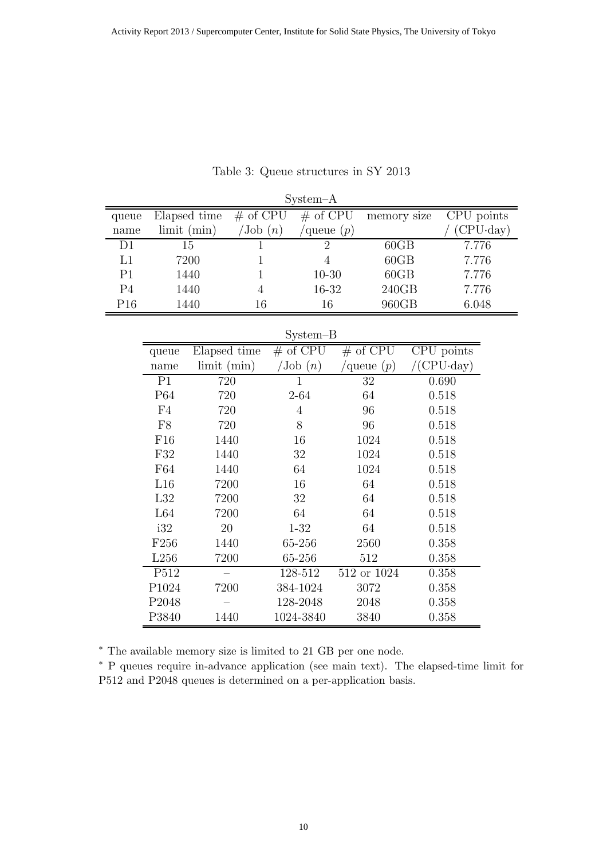| $System-A$     |                   |                    |                       |  |                |  |             |  |            |          |
|----------------|-------------------|--------------------|-----------------------|--|----------------|--|-------------|--|------------|----------|
| queue          |                   | Elapsed time       | # of $CP\overline{U}$ |  | $#$ of CPU     |  | memory size |  | CPU points |          |
| name           |                   | limit (min)        | $\text{Job}(n)$       |  | queue $(p)$    |  |             |  |            | CPU·day) |
| D1             |                   | 15                 | $\mathbf{1}$          |  | $\overline{2}$ |  | 60GB        |  | 7.776      |          |
| L1             |                   | 7200               | 1                     |  | $\overline{4}$ |  | 60GB        |  | 7.776      |          |
| P <sub>1</sub> |                   | 1440               | $\mathbf{1}$          |  | $10 - 30$      |  | 60GB        |  | 7.776      |          |
| P <sub>4</sub> |                   | 1440               | $\overline{4}$        |  | 16-32          |  | 240GB       |  | 7.776      |          |
| P16            |                   | 1440               | 16                    |  | 16             |  | 960GB       |  | 6.048      |          |
|                |                   |                    |                       |  |                |  |             |  |            |          |
|                |                   |                    |                       |  | $System-B$     |  |             |  |            |          |
|                | queue             | Elapsed time       |                       |  | $#$ of CPU     |  | $#$ of CPU  |  | CPU points |          |
|                | name              | $\lim$ it $(\min)$ |                       |  | 'Job(n)        |  | queue $(p)$ |  | $CPU$ day  |          |
|                | P <sub>1</sub>    | 720                |                       |  | $\mathbf{1}$   |  | 32          |  | 0.690      |          |
|                | P64               | 720                |                       |  | $2 - 64$       |  | 64          |  | 0.518      |          |
|                | F <sub>4</sub>    | 720                |                       |  | $\overline{4}$ |  | 96          |  | 0.518      |          |
|                | F8                | 720                |                       |  | 8              |  | 96          |  | 0.518      |          |
|                | F16               | 1440               |                       |  | 16             |  | 1024        |  | 0.518      |          |
|                | F32               | 1440               |                       |  | 32             |  | 1024        |  | 0.518      |          |
|                | F64               | 1440               |                       |  | 64             |  | 1024        |  | 0.518      |          |
|                | L16               | 7200               |                       |  | 16             |  | 64          |  | 0.518      |          |
|                | L32               | 7200               |                       |  | 32             |  | 64          |  | 0.518      |          |
|                | L64               | 7200               |                       |  | 64             |  | 64          |  | 0.518      |          |
|                | i32               | 20                 |                       |  | $1 - 32$       |  | 64          |  | 0.518      |          |
|                | F <sub>256</sub>  | 1440               |                       |  | 65-256         |  | 2560        |  | 0.358      |          |
|                | L256              | 7200               |                       |  | 65-256         |  | 512         |  | 0.358      |          |
|                | P512              | $\qquad \qquad$    |                       |  | 128-512        |  | 512 or 1024 |  | 0.358      |          |
|                | P1024             | 7200               |                       |  | 384-1024       |  | 3072        |  | 0.358      |          |
|                | P <sub>2048</sub> |                    |                       |  | 128-2048       |  | 2048        |  | 0.358      |          |
|                | P3840             | 1440               |                       |  | 1024-3840      |  | 3840        |  | 0.358      |          |

Table 3: Queue structures in SY 2013

<sup>∗</sup> The available memory size is limited to 21 GB per one node.

<sup>∗</sup> P queues require in-advance application (see main text). The elapsed-time limit for P512 and P2048 queues is determined on a per-application basis.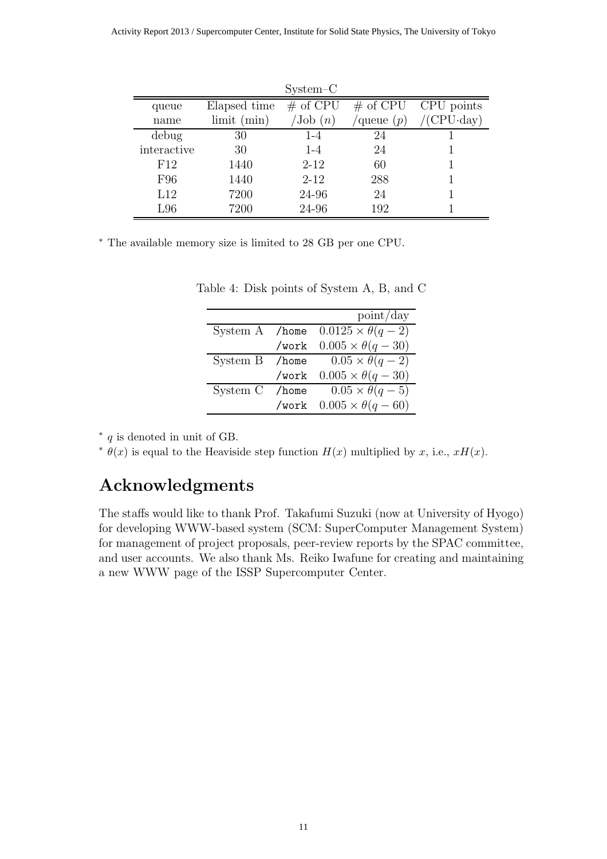|             |                    | $System-C$          |              |                        |
|-------------|--------------------|---------------------|--------------|------------------------|
| queue       | Elapsed time       | $#$ of CPU          |              | $\#$ of CPU CPU points |
| name        | $\lim$ it $(\min)$ | $\mathrm{Job}\ (n)$ | /queue $(p)$ | $/$ (CPU $\cdot$ day)  |
| debug       | 30                 | $1 - 4$             | 24           |                        |
| interactive | 30                 | $1 - 4$             | 24           |                        |
| F12         | 1440               | $2 - 12$            | 60           |                        |
| F96         | 1440               | $2 - 12$            | 288          |                        |
| L12         | 7200               | 24-96               | 24           |                        |
| L96         | 7200               | 24-96               | 192          |                        |

<sup>∗</sup> The available memory size is limited to 28 GB per one CPU.

|                |          | point/day                   |
|----------------|----------|-----------------------------|
| System A /home |          | $0.0125 \times \theta(q-2)$ |
|                | /work    | $0.005 \times \theta(q-30)$ |
| System B       | $/$ home | $0.05 \times \theta(q-2)$   |
|                | /work    | $0.005 \times \theta(q-30)$ |
| System C       | /home    | $0.05 \times \theta(q-5)$   |
|                | /work    | $0.005 \times \theta(q-60)$ |

| Table 4: Disk points of System A, B, and C |  |  |  |  |  |  |  |  |
|--------------------------------------------|--|--|--|--|--|--|--|--|
|--------------------------------------------|--|--|--|--|--|--|--|--|

∗ q is denoted in unit of GB.

<sup>∗</sup>  $\theta(x)$  is equal to the Heaviside step function  $H(x)$  multiplied by x, i.e., xH(x).

## Acknowledgments

The staffs would like to thank Prof. Takafumi Suzuki (now at University of Hyogo) for developing WWW-based system (SCM: SuperComputer Management System) for management of project proposals, peer-review reports by the SPAC committee, and user accounts. We also thank Ms. Reiko Iwafune for creating and maintaining a new WWW page of the ISSP Supercomputer Center.